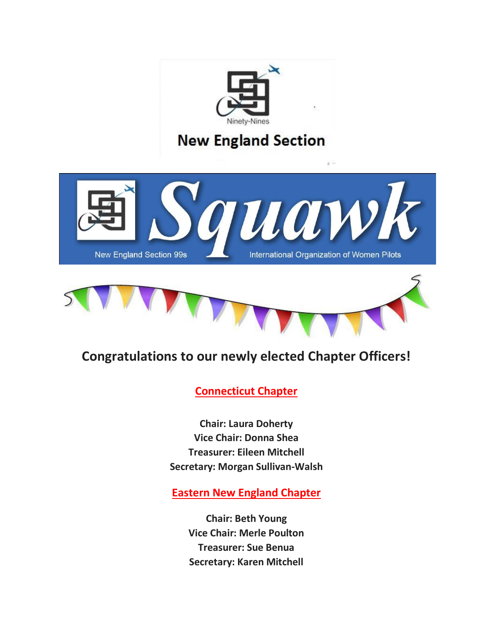

## **Congratulations to our newly elected Chapter Officers!**

## **Connecticut Chapter**

**Chair: Laura Doherty Vice Chair: Donna Shea Treasurer: Eileen Mitchell Secretary: Morgan Sullivan-Walsh**

**Eastern New England Chapter**

**Chair: Beth Young Vice Chair: Merle Poulton Treasurer: Sue Benua Secretary: Karen Mitchell**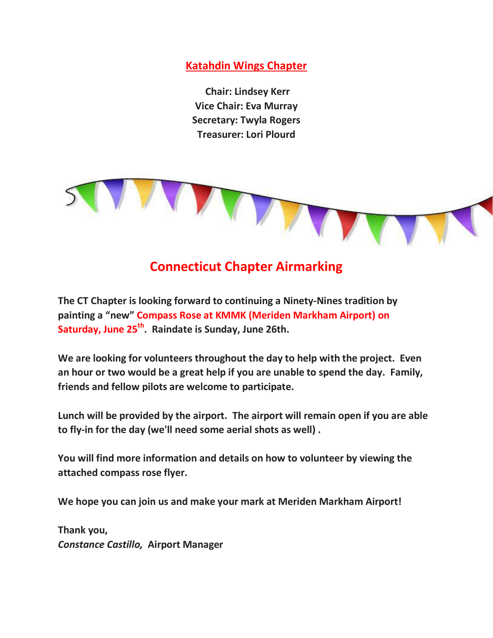**Katahdin Wings Chapter**

**Chair: Lindsey Kerr Vice Chair: Eva Murray Secretary: Twyla Rogers Treasurer: Lori Plourd**



## **Connecticut Chapter Airmarking**

**The CT Chapter is looking forward to continuing a Ninety-Nines tradition by painting a "new" Compass Rose at KMMK (Meriden Markham Airport) on Saturday, June 25th . Raindate is Sunday, June 26th.**

**We are looking for volunteers throughout the day to help with the project. Even an hour or two would be a great help if you are unable to spend the day. Family, friends and fellow pilots are welcome to participate.** 

**Lunch will be provided by the airport. The airport will remain open if you are able to fly-in for the day (we'll need some aerial shots as well) .**

**You will find more information and details on how to volunteer by viewing the attached compass rose flyer.**

**We hope you can join us and make your mark at Meriden Markham Airport!** 

**Thank you,** *Constance Castillo,* **Airport Manager**